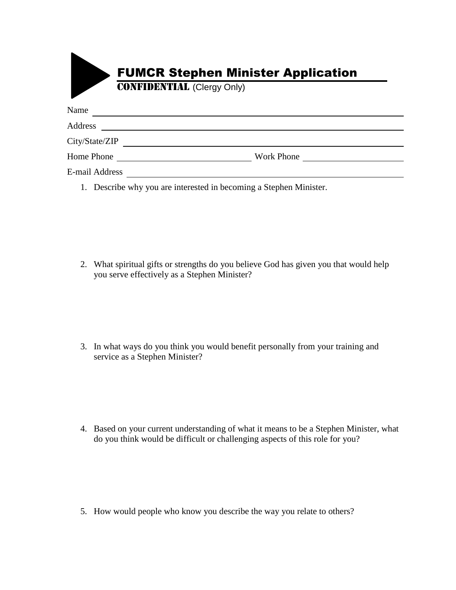|                | <b>FUMCR Stephen Minister Application</b><br><b>CONFIDENTIAL</b> (Clergy Only) |
|----------------|--------------------------------------------------------------------------------|
| Name           |                                                                                |
| Address        |                                                                                |
| City/State/ZIP |                                                                                |
| Home Phone     | Work Phone                                                                     |
| E-mail Address |                                                                                |

1. Describe why you are interested in becoming a Stephen Minister.

2. What spiritual gifts or strengths do you believe God has given you that would help you serve effectively as a Stephen Minister?

3. In what ways do you think you would benefit personally from your training and service as a Stephen Minister?

4. Based on your current understanding of what it means to be a Stephen Minister, what do you think would be difficult or challenging aspects of this role for you?

5. How would people who know you describe the way you relate to others?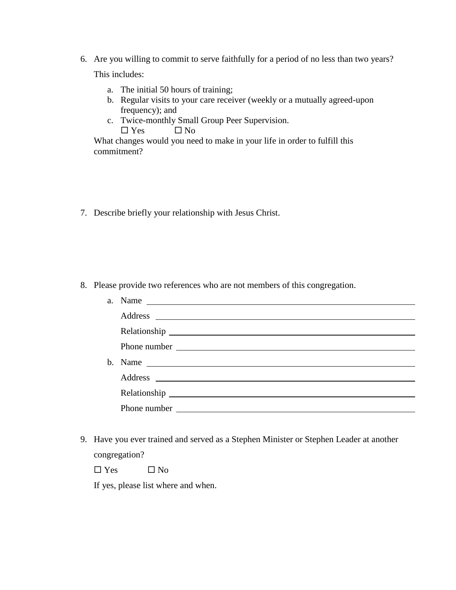- 6. Are you willing to commit to serve faithfully for a period of no less than two years? This includes:
	- a. The initial 50 hours of training;
	- b. Regular visits to your care receiver (weekly or a mutually agreed-upon frequency); and
	- c. Twice-monthly Small Group Peer Supervision.
		- $\Box$  Yes  $\Box$  No

What changes would you need to make in your life in order to fulfill this commitment?

7. Describe briefly your relationship with Jesus Christ.

8. Please provide two references who are not members of this congregation.

| a. Name $\qquad \qquad$ |
|-------------------------|
|                         |
|                         |
|                         |
| b. Name $\qquad \qquad$ |
|                         |
|                         |
|                         |
|                         |

9. Have you ever trained and served as a Stephen Minister or Stephen Leader at another congregation?

 $\Box$  Yes  $\Box$  No

If yes, please list where and when.